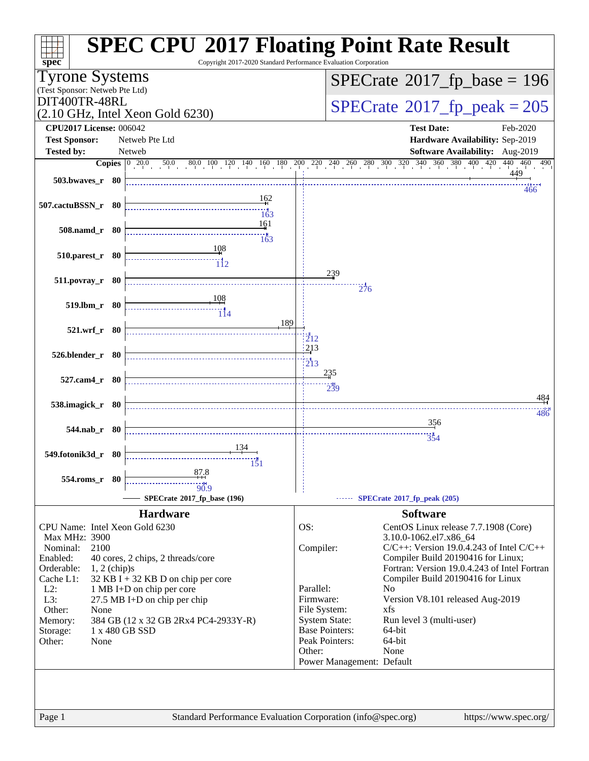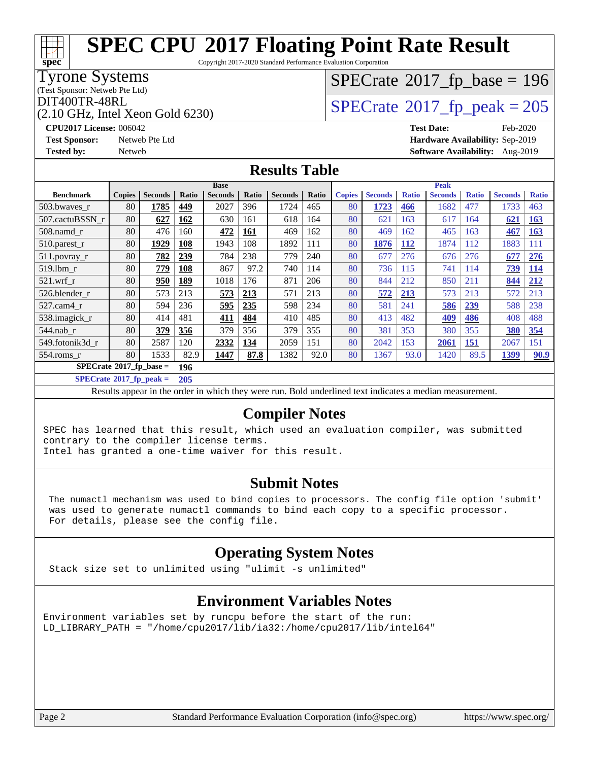Copyright 2017-2020 Standard Performance Evaluation Corporation

### Tyrone Systems

(Test Sponsor: Netweb Pte Ltd)

**[spec](http://www.spec.org/)**

(2.10 GHz, Intel Xeon Gold 6230)

## $SPECTate$ <sup>®</sup>[2017\\_fp\\_base =](http://www.spec.org/auto/cpu2017/Docs/result-fields.html#SPECrate2017fpbase) 196

### $\text{DIT400TR-48RL}$ <br>(2.10 GHz, Intel Xeon Gold 6230)  $\text{SPECrate}$  $\text{SPECrate}$  $\text{SPECrate}$ <sup>®</sup>[2017\\_fp\\_peak = 2](http://www.spec.org/auto/cpu2017/Docs/result-fields.html#SPECrate2017fppeak)05

**[CPU2017 License:](http://www.spec.org/auto/cpu2017/Docs/result-fields.html#CPU2017License)** 006042 **[Test Date:](http://www.spec.org/auto/cpu2017/Docs/result-fields.html#TestDate)** Feb-2020 **[Test Sponsor:](http://www.spec.org/auto/cpu2017/Docs/result-fields.html#TestSponsor)** Netweb Pte Ltd **[Hardware Availability:](http://www.spec.org/auto/cpu2017/Docs/result-fields.html#HardwareAvailability)** Sep-2019 **[Tested by:](http://www.spec.org/auto/cpu2017/Docs/result-fields.html#Testedby)** Netweb **[Software Availability:](http://www.spec.org/auto/cpu2017/Docs/result-fields.html#SoftwareAvailability)** Aug-2019

### **[Results Table](http://www.spec.org/auto/cpu2017/Docs/result-fields.html#ResultsTable)**

|                            | <b>Base</b>   |                |              |                | <b>Peak</b> |                |       |               |                |              |                |              |                |              |
|----------------------------|---------------|----------------|--------------|----------------|-------------|----------------|-------|---------------|----------------|--------------|----------------|--------------|----------------|--------------|
| <b>Benchmark</b>           | <b>Copies</b> | <b>Seconds</b> | <b>Ratio</b> | <b>Seconds</b> | Ratio       | <b>Seconds</b> | Ratio | <b>Copies</b> | <b>Seconds</b> | <b>Ratio</b> | <b>Seconds</b> | <b>Ratio</b> | <b>Seconds</b> | <b>Ratio</b> |
| 503.bwaves_r               | 80            | 1785           | 449          | 2027           | 396         | 1724           | 465   | 80            | 1723           | 466          | 1682           | 477          | 1733           | 463          |
| 507.cactuBSSN r            | 80            | 627            | 162          | 630            | 161         | 618            | 164   | 80            | 621            | 163          | 617            | 164          | 621            | <b>163</b>   |
| $508$ .namd $r$            | 80            | 476            | 160          | 472            | 161         | 469            | 162   | 80            | 469            | 162          | 465            | 163          | 467            | <b>163</b>   |
| 510.parest_r               | 80            | 1929           | 108          | 1943           | 108         | 1892           | 111   | 80            | 1876           | <b>112</b>   | 1874           | 112          | 1883           | 111          |
| 511.povray_r               | 80            | 782            | 239          | 784            | 238         | 779            | 240   | 80            | 677            | 276          | 676            | 276          | 677            | 276          |
| 519.lbm r                  | 80            | 779            | <b>108</b>   | 867            | 97.2        | 740            | 114   | 80            | 736            | 115          | 741            | 114          | 739            | <b>114</b>   |
| $521$ .wrf r               | 80            | 950            | 189          | 1018           | 176         | 871            | 206   | 80            | 844            | 212          | 850            | 211          | 844            | 212          |
| 526.blender r              | 80            | 573            | 213          | 573            | <u>213</u>  | 571            | 213   | 80            | 572            | 213          | 573            | 213          | 572            | 213          |
| 527.cam4 r                 | 80            | 594            | 236          | 595            | 235         | 598            | 234   | 80            | 581            | 241          | 586            | 239          | 588            | 238          |
| 538.imagick_r              | 80            | 414            | 481          | 411            | 484         | 410            | 485   | 80            | 413            | 482          | 409            | 486          | 408            | 488          |
| $544$ .nab_r               | 80            | 379            | 356          | 379            | 356         | 379            | 355   | 80            | 381            | 353          | 380            | 355          | 380            | 354          |
| 549.fotonik3d r            | 80            | 2587           | 120          | 2332           | 134         | 2059           | 151   | 80            | 2042           | 153          | 2061           | 151          | 2067           | 151          |
| $554$ .roms $r$            | 80            | 1533           | 82.9         | 1447           | 87.8        | 1382           | 92.0  | 80            | 1367           | 93.0         | 1420           | 89.5         | 1399           | 90.9         |
| $SPECrate*2017_fp\_base =$ |               |                | 196          |                |             |                |       |               |                |              |                |              |                |              |

**[SPECrate](http://www.spec.org/auto/cpu2017/Docs/result-fields.html#SPECrate2017fppeak)[2017\\_fp\\_peak =](http://www.spec.org/auto/cpu2017/Docs/result-fields.html#SPECrate2017fppeak) 205**

Results appear in the [order in which they were run.](http://www.spec.org/auto/cpu2017/Docs/result-fields.html#RunOrder) Bold underlined text [indicates a median measurement.](http://www.spec.org/auto/cpu2017/Docs/result-fields.html#Median)

### **[Compiler Notes](http://www.spec.org/auto/cpu2017/Docs/result-fields.html#CompilerNotes)**

SPEC has learned that this result, which used an evaluation compiler, was submitted contrary to the compiler license terms.

Intel has granted a one-time waiver for this result.

### **[Submit Notes](http://www.spec.org/auto/cpu2017/Docs/result-fields.html#SubmitNotes)**

 The numactl mechanism was used to bind copies to processors. The config file option 'submit' was used to generate numactl commands to bind each copy to a specific processor. For details, please see the config file.

### **[Operating System Notes](http://www.spec.org/auto/cpu2017/Docs/result-fields.html#OperatingSystemNotes)**

Stack size set to unlimited using "ulimit -s unlimited"

### **[Environment Variables Notes](http://www.spec.org/auto/cpu2017/Docs/result-fields.html#EnvironmentVariablesNotes)**

Environment variables set by runcpu before the start of the run: LD\_LIBRARY\_PATH = "/home/cpu2017/lib/ia32:/home/cpu2017/lib/intel64"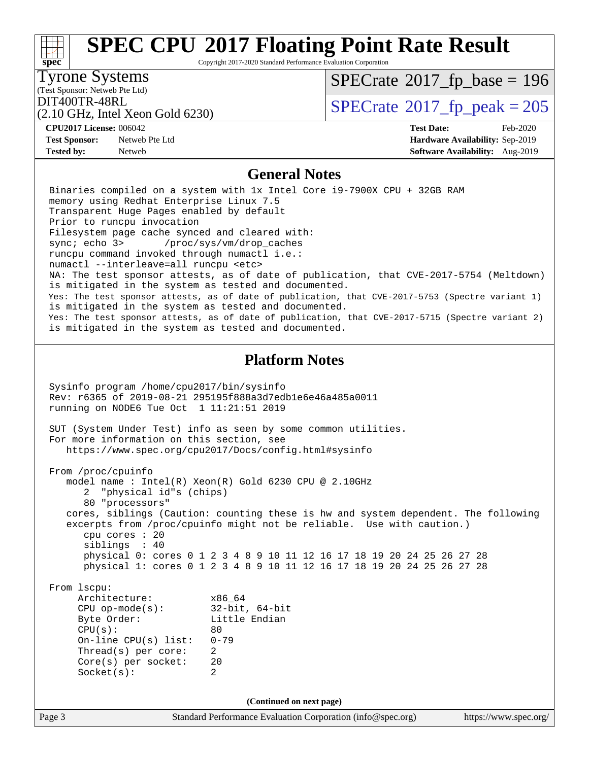#### Page 3 Standard Performance Evaluation Corporation [\(info@spec.org\)](mailto:info@spec.org) <https://www.spec.org/> **[spec](http://www.spec.org/) [SPEC CPU](http://www.spec.org/auto/cpu2017/Docs/result-fields.html#SPECCPU2017FloatingPointRateResult)[2017 Floating Point Rate Result](http://www.spec.org/auto/cpu2017/Docs/result-fields.html#SPECCPU2017FloatingPointRateResult)** Copyright 2017-2020 Standard Performance Evaluation Corporation (Test Sponsor: Netweb Pte Ltd) Tyrone Systems (2.10 GHz, Intel Xeon Gold 6230)  $DIT400TR-48RL$ <br>(2.10 GHz, Intel Yeon Gold 6230)  $SPECTate^{\circ}2017$  [p\_peak = 205  $SPECTate$ <sup>®</sup>[2017\\_fp\\_base =](http://www.spec.org/auto/cpu2017/Docs/result-fields.html#SPECrate2017fpbase) 196 **[CPU2017 License:](http://www.spec.org/auto/cpu2017/Docs/result-fields.html#CPU2017License)** 006042 **[Test Date:](http://www.spec.org/auto/cpu2017/Docs/result-fields.html#TestDate)** Feb-2020 **[Test Sponsor:](http://www.spec.org/auto/cpu2017/Docs/result-fields.html#TestSponsor)** Netweb Pte Ltd **[Hardware Availability:](http://www.spec.org/auto/cpu2017/Docs/result-fields.html#HardwareAvailability)** Sep-2019 **[Tested by:](http://www.spec.org/auto/cpu2017/Docs/result-fields.html#Testedby)** Netweb **[Software Availability:](http://www.spec.org/auto/cpu2017/Docs/result-fields.html#SoftwareAvailability)** Aug-2019 **[General Notes](http://www.spec.org/auto/cpu2017/Docs/result-fields.html#GeneralNotes)** Binaries compiled on a system with 1x Intel Core i9-7900X CPU + 32GB RAM memory using Redhat Enterprise Linux 7.5 Transparent Huge Pages enabled by default Prior to runcpu invocation Filesystem page cache synced and cleared with: sync; echo 3> /proc/sys/vm/drop\_caches runcpu command invoked through numactl i.e.: numactl --interleave=all runcpu <etc> NA: The test sponsor attests, as of date of publication, that CVE-2017-5754 (Meltdown) is mitigated in the system as tested and documented. Yes: The test sponsor attests, as of date of publication, that CVE-2017-5753 (Spectre variant 1) is mitigated in the system as tested and documented. Yes: The test sponsor attests, as of date of publication, that CVE-2017-5715 (Spectre variant 2) is mitigated in the system as tested and documented. **[Platform Notes](http://www.spec.org/auto/cpu2017/Docs/result-fields.html#PlatformNotes)** Sysinfo program /home/cpu2017/bin/sysinfo Rev: r6365 of 2019-08-21 295195f888a3d7edb1e6e46a485a0011 running on NODE6 Tue Oct 1 11:21:51 2019 SUT (System Under Test) info as seen by some common utilities. For more information on this section, see <https://www.spec.org/cpu2017/Docs/config.html#sysinfo> From /proc/cpuinfo model name : Intel(R) Xeon(R) Gold 6230 CPU @ 2.10GHz 2 "physical id"s (chips) 80 "processors" cores, siblings (Caution: counting these is hw and system dependent. The following excerpts from /proc/cpuinfo might not be reliable. Use with caution.) cpu cores : 20 siblings : 40 physical 0: cores 0 1 2 3 4 8 9 10 11 12 16 17 18 19 20 24 25 26 27 28 physical 1: cores 0 1 2 3 4 8 9 10 11 12 16 17 18 19 20 24 25 26 27 28 From lscpu: Architecture: x86\_64 CPU op-mode(s): 32-bit, 64-bit Byte Order: Little Endian  $CPU(s):$  80 On-line CPU(s) list: 0-79 Thread(s) per core: 2 Core(s) per socket: 20 Socket(s): 2 **(Continued on next page)**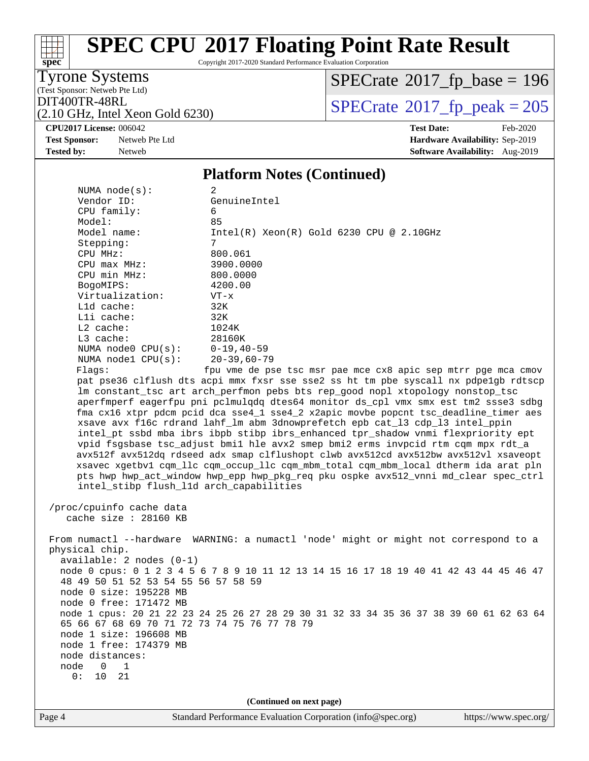Copyright 2017-2020 Standard Performance Evaluation Corporation

Tyrone Systems

**[spec](http://www.spec.org/)**

 $\pm\pm\prime$ 

(Test Sponsor: Netweb Pte Ltd)

 $SPECrate$ <sup>®</sup>[2017\\_fp\\_base =](http://www.spec.org/auto/cpu2017/Docs/result-fields.html#SPECrate2017fpbase) 196

(2.10 GHz, Intel Xeon Gold 6230)

DIT400TR-48RL<br>(2.10 GHz, Intel Xeon Gold 6230) [SPECrate](http://www.spec.org/auto/cpu2017/Docs/result-fields.html#SPECrate2017fppeak)®[2017\\_fp\\_peak = 2](http://www.spec.org/auto/cpu2017/Docs/result-fields.html#SPECrate2017fppeak)05

**[CPU2017 License:](http://www.spec.org/auto/cpu2017/Docs/result-fields.html#CPU2017License)** 006042 **[Test Date:](http://www.spec.org/auto/cpu2017/Docs/result-fields.html#TestDate)** Feb-2020

**[Test Sponsor:](http://www.spec.org/auto/cpu2017/Docs/result-fields.html#TestSponsor)** Netweb Pte Ltd **[Hardware Availability:](http://www.spec.org/auto/cpu2017/Docs/result-fields.html#HardwareAvailability)** Sep-2019 **[Tested by:](http://www.spec.org/auto/cpu2017/Docs/result-fields.html#Testedby)** Netweb **[Software Availability:](http://www.spec.org/auto/cpu2017/Docs/result-fields.html#SoftwareAvailability)** Aug-2019

#### **[Platform Notes \(Continued\)](http://www.spec.org/auto/cpu2017/Docs/result-fields.html#PlatformNotes)**

| NUMA $node(s):$                                                                     | 2                                                                                       |  |  |  |  |  |
|-------------------------------------------------------------------------------------|-----------------------------------------------------------------------------------------|--|--|--|--|--|
| Vendor ID:                                                                          | GenuineIntel                                                                            |  |  |  |  |  |
| CPU family:                                                                         | 6                                                                                       |  |  |  |  |  |
| Model:                                                                              | 85                                                                                      |  |  |  |  |  |
| Model name:                                                                         | $Intel(R) Xeon(R) Gold 6230 CPU @ 2.10GHz$                                              |  |  |  |  |  |
| Stepping:                                                                           | 7                                                                                       |  |  |  |  |  |
| CPU MHz:                                                                            | 800.061                                                                                 |  |  |  |  |  |
| $CPU$ $max$ $MHz$ :                                                                 | 3900.0000                                                                               |  |  |  |  |  |
| CPU min MHz:                                                                        | 800.0000                                                                                |  |  |  |  |  |
| BogoMIPS:                                                                           | 4200.00                                                                                 |  |  |  |  |  |
| Virtualization:                                                                     | $VT - x$                                                                                |  |  |  |  |  |
| L1d cache:                                                                          | 32K                                                                                     |  |  |  |  |  |
| Lli cache:                                                                          | 32K                                                                                     |  |  |  |  |  |
| $L2$ cache:                                                                         | 1024K                                                                                   |  |  |  |  |  |
| L3 cache:                                                                           | 28160K                                                                                  |  |  |  |  |  |
| NUMA $node0$ $CPU(s)$ :                                                             | $0 - 19, 40 - 59$                                                                       |  |  |  |  |  |
| NUMA nodel $CPU(s):$                                                                | $20 - 39,60 - 79$                                                                       |  |  |  |  |  |
| Flaqs:                                                                              | fpu vme de pse tsc msr pae mce cx8 apic sep mtrr pge mca cmov                           |  |  |  |  |  |
|                                                                                     | pat pse36 clflush dts acpi mmx fxsr sse sse2 ss ht tm pbe syscall nx pdpelgb rdtscp     |  |  |  |  |  |
|                                                                                     | lm constant_tsc art arch_perfmon pebs bts rep_good nopl xtopology nonstop_tsc           |  |  |  |  |  |
|                                                                                     | aperfmperf eagerfpu pni pclmulgdg dtes64 monitor ds cpl vmx smx est tm2 ssse3 sdbg      |  |  |  |  |  |
|                                                                                     | fma cx16 xtpr pdcm pcid dca sse4_1 sse4_2 x2apic movbe popcnt tsc_deadline_timer aes    |  |  |  |  |  |
|                                                                                     | xsave avx f16c rdrand lahf_lm abm 3dnowprefetch epb cat_13 cdp_13 intel_ppin            |  |  |  |  |  |
|                                                                                     | intel_pt ssbd mba ibrs ibpb stibp ibrs_enhanced tpr_shadow vnmi flexpriority ept        |  |  |  |  |  |
|                                                                                     | vpid fsgsbase tsc_adjust bmil hle avx2 smep bmi2 erms invpcid rtm cqm mpx rdt_a         |  |  |  |  |  |
|                                                                                     | avx512f avx512dq rdseed adx smap clflushopt clwb avx512cd avx512bw avx512vl xsaveopt    |  |  |  |  |  |
|                                                                                     | xsavec xgetbv1 cqm_llc cqm_occup_llc cqm_mbm_total cqm_mbm_local dtherm ida arat pln    |  |  |  |  |  |
| pts hwp hwp_act_window hwp_epp hwp_pkg_req pku ospke avx512_vnni md_clear spec_ctrl |                                                                                         |  |  |  |  |  |
| intel_stibp flush_l1d arch_capabilities                                             |                                                                                         |  |  |  |  |  |
| /proc/cpuinfo cache data                                                            |                                                                                         |  |  |  |  |  |
| cache size : 28160 KB                                                               |                                                                                         |  |  |  |  |  |
|                                                                                     |                                                                                         |  |  |  |  |  |
|                                                                                     | From numactl --hardware WARNING: a numactl 'node' might or might not correspond to a    |  |  |  |  |  |
| physical chip.                                                                      |                                                                                         |  |  |  |  |  |
| $available: 2 nodes (0-1)$                                                          |                                                                                         |  |  |  |  |  |
|                                                                                     | node 0 cpus: 0 1 2 3 4 5 6 7 8 9 10 11 12 13 14 15 16 17 18 19 40 41 42 43 44 45 46 47  |  |  |  |  |  |
| 48 49 50 51 52 53 54 55 56 57 58 59                                                 |                                                                                         |  |  |  |  |  |
| node 0 size: 195228 MB                                                              |                                                                                         |  |  |  |  |  |
| node 0 free: 171472 MB                                                              |                                                                                         |  |  |  |  |  |
|                                                                                     | node 1 cpus: 20 21 22 23 24 25 26 27 28 29 30 31 32 33 34 35 36 37 38 39 60 61 62 63 64 |  |  |  |  |  |
| 65 66 67 68 69 70 71 72 73 74 75 76 77 78 79                                        |                                                                                         |  |  |  |  |  |
| node 1 size: 196608 MB                                                              |                                                                                         |  |  |  |  |  |
| node 1 free: 174379 MB                                                              |                                                                                         |  |  |  |  |  |
| node distances:                                                                     |                                                                                         |  |  |  |  |  |
| node<br>0<br>1                                                                      |                                                                                         |  |  |  |  |  |
| 0:<br>10<br>21                                                                      |                                                                                         |  |  |  |  |  |
|                                                                                     |                                                                                         |  |  |  |  |  |
| (Continued on next page)                                                            |                                                                                         |  |  |  |  |  |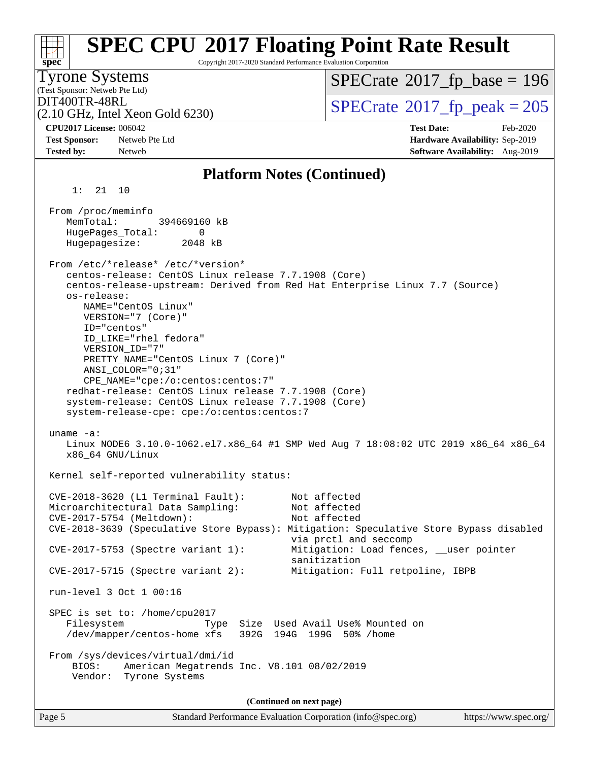| spec <sup>®</sup>                                       |                                                                                                                                                                                                                                                                                                                                                                                                                                                                  | <b>SPEC CPU®2017 Floating Point Rate Result</b><br>Copyright 2017-2020 Standard Performance Evaluation Corporation                                               |
|---------------------------------------------------------|------------------------------------------------------------------------------------------------------------------------------------------------------------------------------------------------------------------------------------------------------------------------------------------------------------------------------------------------------------------------------------------------------------------------------------------------------------------|------------------------------------------------------------------------------------------------------------------------------------------------------------------|
| <b>Tyrone Systems</b><br>(Test Sponsor: Netweb Pte Ltd) |                                                                                                                                                                                                                                                                                                                                                                                                                                                                  | $SPECrate^{\circ}2017$ [p base = 196                                                                                                                             |
| DIT400TR-48RL                                           | $(2.10 \text{ GHz}, \text{Intel Xeon Gold } 6230)$                                                                                                                                                                                                                                                                                                                                                                                                               | $SPECrate^{\circledcirc}2017_fp\_peak = 205$                                                                                                                     |
| <b>CPU2017 License: 006042</b><br><b>Test Sponsor:</b>  | Netweb Pte Ltd                                                                                                                                                                                                                                                                                                                                                                                                                                                   | <b>Test Date:</b><br>Feb-2020<br>Hardware Availability: Sep-2019                                                                                                 |
| <b>Tested by:</b>                                       | Netweb                                                                                                                                                                                                                                                                                                                                                                                                                                                           | Software Availability: Aug-2019                                                                                                                                  |
|                                                         |                                                                                                                                                                                                                                                                                                                                                                                                                                                                  | <b>Platform Notes (Continued)</b>                                                                                                                                |
| 1:<br>21                                                | - 10                                                                                                                                                                                                                                                                                                                                                                                                                                                             |                                                                                                                                                                  |
| From /proc/meminfo<br>MemTotal:<br>Hugepagesize:        | 394669160 kB<br>HugePages_Total:<br>0<br>2048 kB                                                                                                                                                                                                                                                                                                                                                                                                                 |                                                                                                                                                                  |
| os-release:                                             | From /etc/*release* /etc/*version*<br>centos-release: CentOS Linux release 7.7.1908 (Core)<br>NAME="CentOS Linux"<br>VERSION="7 (Core)"<br>ID="centos"<br>ID_LIKE="rhel fedora"<br>VERSION_ID="7"<br>PRETTY_NAME="CentOS Linux 7 (Core)"<br>ANSI_COLOR="0;31"<br>CPE_NAME="cpe:/o:centos:centos:7"<br>redhat-release: CentOS Linux release 7.7.1908 (Core)<br>system-release: CentOS Linux release 7.7.1908 (Core)<br>system-release-cpe: cpe:/o:centos:centos:7 | centos-release-upstream: Derived from Red Hat Enterprise Linux 7.7 (Source)                                                                                      |
| uname $-a$ :                                            | x86 64 GNU/Linux                                                                                                                                                                                                                                                                                                                                                                                                                                                 | Linux NODE6 3.10.0-1062.el7.x86_64 #1 SMP Wed Aug 7 18:08:02 UTC 2019 x86_64 x86_64                                                                              |
|                                                         | Kernel self-reported vulnerability status:                                                                                                                                                                                                                                                                                                                                                                                                                       |                                                                                                                                                                  |
|                                                         | CVE-2018-3620 (L1 Terminal Fault):<br>Microarchitectural Data Sampling:<br>CVE-2017-5754 (Meltdown):                                                                                                                                                                                                                                                                                                                                                             | Not affected<br>Not affected<br>Not affected<br>CVE-2018-3639 (Speculative Store Bypass): Mitigation: Speculative Store Bypass disabled<br>via prctl and seccomp |
|                                                         | CVE-2017-5753 (Spectre variant 1):<br>$CVE-2017-5715$ (Spectre variant 2):                                                                                                                                                                                                                                                                                                                                                                                       | Mitigation: Load fences, __user pointer<br>sanitization<br>Mitigation: Full retpoline, IBPB                                                                      |
|                                                         | run-level 3 Oct 1 00:16                                                                                                                                                                                                                                                                                                                                                                                                                                          |                                                                                                                                                                  |
| Filesystem<br>BIOS:<br>Vendor:                          | SPEC is set to: /home/cpu2017<br>Type<br>/dev/mapper/centos-home xfs<br>From /sys/devices/virtual/dmi/id<br>American Megatrends Inc. V8.101 08/02/2019<br>Tyrone Systems                                                                                                                                                                                                                                                                                         | Size Used Avail Use% Mounted on<br>392G 194G 199G 50% / home                                                                                                     |
|                                                         |                                                                                                                                                                                                                                                                                                                                                                                                                                                                  | (Continued on next page)                                                                                                                                         |
| Page 5                                                  |                                                                                                                                                                                                                                                                                                                                                                                                                                                                  | https://www.spec.org/<br>Standard Performance Evaluation Corporation (info@spec.org)                                                                             |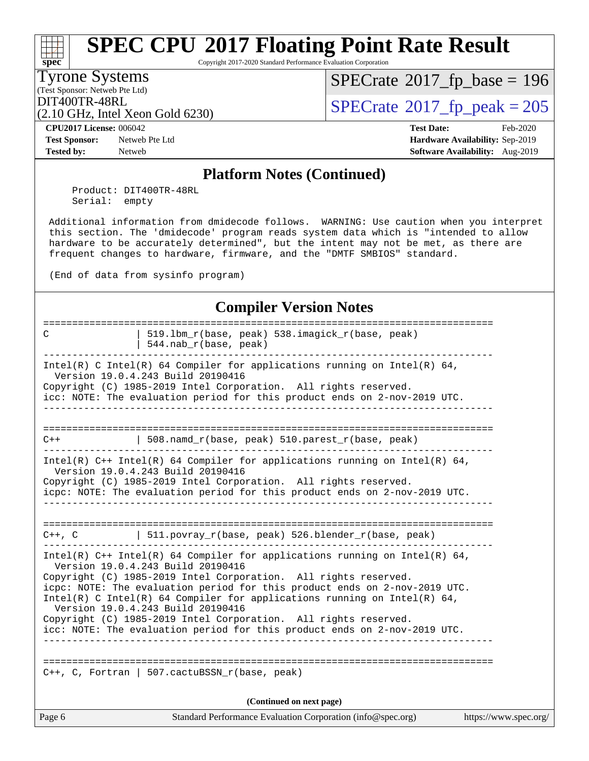Copyright 2017-2020 Standard Performance Evaluation Corporation

#### Tyrone Systems

**[spec](http://www.spec.org/)**

(Test Sponsor: Netweb Pte Ltd)

 $SPECrate$ <sup>®</sup>[2017\\_fp\\_base =](http://www.spec.org/auto/cpu2017/Docs/result-fields.html#SPECrate2017fpbase) 196

(2.10 GHz, Intel Xeon Gold 6230)

 $\text{DIT400TR-48RL}$ <br>(2.10 GHz, Intel Xeon Gold 6230)  $\text{SPECrate}$  $\text{SPECrate}$  $\text{SPECrate}$ <sup>®</sup>[2017\\_fp\\_peak = 2](http://www.spec.org/auto/cpu2017/Docs/result-fields.html#SPECrate2017fppeak)05

**[Test Sponsor:](http://www.spec.org/auto/cpu2017/Docs/result-fields.html#TestSponsor)** Netweb Pte Ltd **[Hardware Availability:](http://www.spec.org/auto/cpu2017/Docs/result-fields.html#HardwareAvailability)** Sep-2019 **[Tested by:](http://www.spec.org/auto/cpu2017/Docs/result-fields.html#Testedby)** Netweb **[Software Availability:](http://www.spec.org/auto/cpu2017/Docs/result-fields.html#SoftwareAvailability)** Aug-2019

**[CPU2017 License:](http://www.spec.org/auto/cpu2017/Docs/result-fields.html#CPU2017License)** 006042 **[Test Date:](http://www.spec.org/auto/cpu2017/Docs/result-fields.html#TestDate)** Feb-2020

#### **[Platform Notes \(Continued\)](http://www.spec.org/auto/cpu2017/Docs/result-fields.html#PlatformNotes)**

 Product: DIT400TR-48RL Serial: empty

 Additional information from dmidecode follows. WARNING: Use caution when you interpret this section. The 'dmidecode' program reads system data which is "intended to allow hardware to be accurately determined", but the intent may not be met, as there are frequent changes to hardware, firmware, and the "DMTF SMBIOS" standard.

(End of data from sysinfo program)

### **[Compiler Version Notes](http://www.spec.org/auto/cpu2017/Docs/result-fields.html#CompilerVersionNotes)**

| C      | 519.1bm_r(base, peak) 538.imagick_r(base, peak)                                                                                                                                                                                                               |                       |
|--------|---------------------------------------------------------------------------------------------------------------------------------------------------------------------------------------------------------------------------------------------------------------|-----------------------|
|        | 544.nab_r(base, peak)                                                                                                                                                                                                                                         |                       |
|        | Intel(R) C Intel(R) 64 Compiler for applications running on Intel(R) 64,<br>Version 19.0.4.243 Build 20190416<br>Copyright (C) 1985-2019 Intel Corporation. All rights reserved.<br>icc: NOTE: The evaluation period for this product ends on 2-nov-2019 UTC. |                       |
| $C++$  | 508.namd_r(base, peak) $510.\text{parents\_r}(\text{base}, \text{peak})$                                                                                                                                                                                      |                       |
|        |                                                                                                                                                                                                                                                               |                       |
|        | Intel(R) $C++$ Intel(R) 64 Compiler for applications running on Intel(R) 64,<br>Version 19.0.4.243 Build 20190416                                                                                                                                             |                       |
|        | Copyright (C) 1985-2019 Intel Corporation. All rights reserved.<br>icpc: NOTE: The evaluation period for this product ends on 2-nov-2019 UTC.                                                                                                                 |                       |
|        |                                                                                                                                                                                                                                                               |                       |
|        |                                                                                                                                                                                                                                                               |                       |
|        | $C++$ , C $\qquad$ 511.povray_r(base, peak) 526.blender_r(base, peak)                                                                                                                                                                                         |                       |
|        | Intel(R) C++ Intel(R) 64 Compiler for applications running on Intel(R) 64,<br>Version 19.0.4.243 Build 20190416                                                                                                                                               |                       |
|        | Copyright (C) 1985-2019 Intel Corporation. All rights reserved.                                                                                                                                                                                               |                       |
|        | icpc: NOTE: The evaluation period for this product ends on 2-nov-2019 UTC.<br>Intel(R) C Intel(R) 64 Compiler for applications running on Intel(R) 64,<br>Version 19.0.4.243 Build 20190416                                                                   |                       |
|        | Copyright (C) 1985-2019 Intel Corporation. All rights reserved.                                                                                                                                                                                               |                       |
|        | icc: NOTE: The evaluation period for this product ends on 2-nov-2019 UTC.                                                                                                                                                                                     |                       |
|        |                                                                                                                                                                                                                                                               |                       |
|        | C++, C, Fortran   507.cactuBSSN_r(base, peak)                                                                                                                                                                                                                 |                       |
|        | (Continued on next page)                                                                                                                                                                                                                                      |                       |
| Page 6 | Standard Performance Evaluation Corporation (info@spec.org)                                                                                                                                                                                                   | https://www.spec.org/ |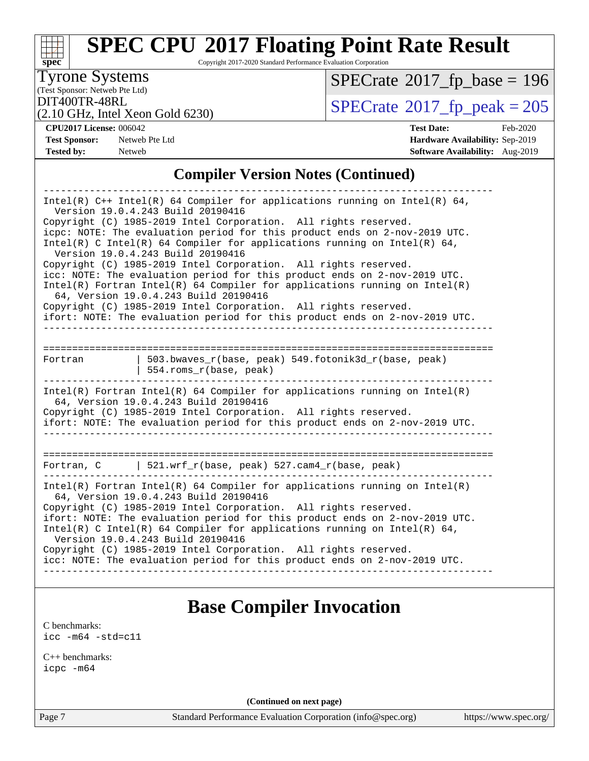#### **[spec](http://www.spec.org/)**<sup>®</sup> **[SPEC CPU](http://www.spec.org/auto/cpu2017/Docs/result-fields.html#SPECCPU2017FloatingPointRateResult)[2017 Floating Point Rate Result](http://www.spec.org/auto/cpu2017/Docs/result-fields.html#SPECCPU2017FloatingPointRateResult)** Copyright 2017-2020 Standard Performance Evaluation Corporation (Test Sponsor: Netweb Pte Ltd) Tyrone Systems (2.10 GHz, Intel Xeon Gold 6230)  $\text{DIT400TR-48RL}$ <br>(2.10 GHz, Intel Xeon Gold 6230)  $\text{SPECrate}$  $\text{SPECrate}$  $\text{SPECrate}$ <sup>®</sup>[2017\\_fp\\_peak = 2](http://www.spec.org/auto/cpu2017/Docs/result-fields.html#SPECrate2017fppeak)05  $SPECTate$ <sup>®</sup>[2017\\_fp\\_base =](http://www.spec.org/auto/cpu2017/Docs/result-fields.html#SPECrate2017fpbase) 196 **[CPU2017 License:](http://www.spec.org/auto/cpu2017/Docs/result-fields.html#CPU2017License)** 006042 **[Test Date:](http://www.spec.org/auto/cpu2017/Docs/result-fields.html#TestDate)** Feb-2020 **[Test Sponsor:](http://www.spec.org/auto/cpu2017/Docs/result-fields.html#TestSponsor)** Netweb Pte Ltd **[Hardware Availability:](http://www.spec.org/auto/cpu2017/Docs/result-fields.html#HardwareAvailability)** Sep-2019 **[Tested by:](http://www.spec.org/auto/cpu2017/Docs/result-fields.html#Testedby)** Netweb **[Software Availability:](http://www.spec.org/auto/cpu2017/Docs/result-fields.html#SoftwareAvailability)** Aug-2019 **[Compiler Version Notes \(Continued\)](http://www.spec.org/auto/cpu2017/Docs/result-fields.html#CompilerVersionNotes)** ------------------------------------------------------------------------------ Intel(R) C++ Intel(R) 64 Compiler for applications running on Intel(R) 64, Version 19.0.4.243 Build 20190416 Copyright (C) 1985-2019 Intel Corporation. All rights reserved. icpc: NOTE: The evaluation period for this product ends on 2-nov-2019 UTC. Intel(R) C Intel(R) 64 Compiler for applications running on Intel(R) 64, Version 19.0.4.243 Build 20190416 Copyright (C) 1985-2019 Intel Corporation. All rights reserved. icc: NOTE: The evaluation period for this product ends on 2-nov-2019 UTC. Intel(R) Fortran Intel(R) 64 Compiler for applications running on Intel(R) 64, Version 19.0.4.243 Build 20190416 Copyright (C) 1985-2019 Intel Corporation. All rights reserved. ifort: NOTE: The evaluation period for this product ends on 2-nov-2019 UTC. ------------------------------------------------------------------------------ ============================================================================== Fortran | 503.bwaves\_r(base, peak) 549.fotonik3d\_r(base, peak) | 554.roms\_r(base, peak) ------------------------------------------------------------------------------ Intel(R) Fortran Intel(R) 64 Compiler for applications running on Intel(R) 64, Version 19.0.4.243 Build 20190416 Copyright (C) 1985-2019 Intel Corporation. All rights reserved. ifort: NOTE: The evaluation period for this product ends on 2-nov-2019 UTC. ------------------------------------------------------------------------------ ============================================================================== Fortran, C | 521.wrf\_r(base, peak) 527.cam4\_r(base, peak) ------------------------------------------------------------------------------ Intel(R) Fortran Intel(R)  $64$  Compiler for applications running on Intel(R) 64, Version 19.0.4.243 Build 20190416 Copyright (C) 1985-2019 Intel Corporation. All rights reserved. ifort: NOTE: The evaluation period for this product ends on 2-nov-2019 UTC. Intel(R) C Intel(R) 64 Compiler for applications running on Intel(R)  $64$ , Version 19.0.4.243 Build 20190416 Copyright (C) 1985-2019 Intel Corporation. All rights reserved. icc: NOTE: The evaluation period for this product ends on 2-nov-2019 UTC.

------------------------------------------------------------------------------

### **[Base Compiler Invocation](http://www.spec.org/auto/cpu2017/Docs/result-fields.html#BaseCompilerInvocation)**

[C benchmarks](http://www.spec.org/auto/cpu2017/Docs/result-fields.html#Cbenchmarks): [icc -m64 -std=c11](http://www.spec.org/cpu2017/results/res2020q1/cpu2017-20200218-20949.flags.html#user_CCbase_intel_icc_64bit_c11_33ee0cdaae7deeeab2a9725423ba97205ce30f63b9926c2519791662299b76a0318f32ddfffdc46587804de3178b4f9328c46fa7c2b0cd779d7a61945c91cd35)

[C++ benchmarks:](http://www.spec.org/auto/cpu2017/Docs/result-fields.html#CXXbenchmarks) [icpc -m64](http://www.spec.org/cpu2017/results/res2020q1/cpu2017-20200218-20949.flags.html#user_CXXbase_intel_icpc_64bit_4ecb2543ae3f1412ef961e0650ca070fec7b7afdcd6ed48761b84423119d1bf6bdf5cad15b44d48e7256388bc77273b966e5eb805aefd121eb22e9299b2ec9d9)

**(Continued on next page)**

Page 7 Standard Performance Evaluation Corporation [\(info@spec.org\)](mailto:info@spec.org) <https://www.spec.org/>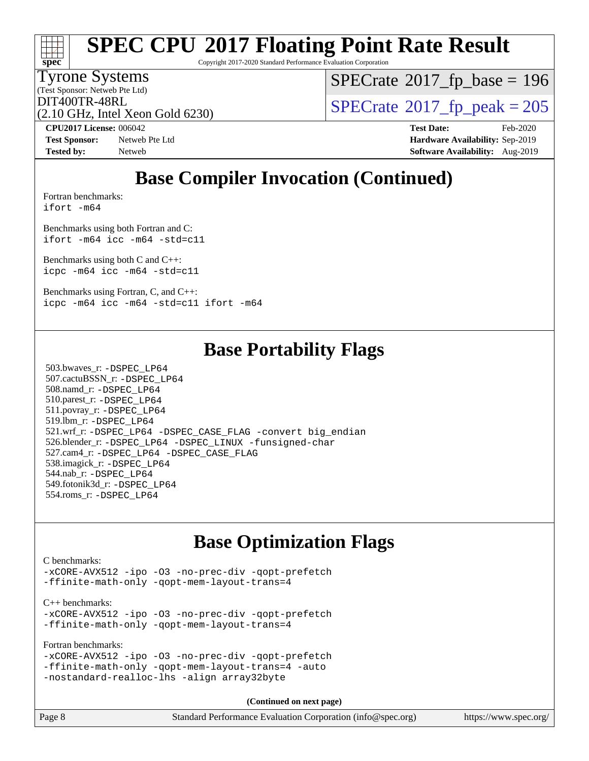Copyright 2017-2020 Standard Performance Evaluation Corporation

#### Tyrone Systems

**[spec](http://www.spec.org/)**

(Test Sponsor: Netweb Pte Ltd)

 $SPECrate$ <sup>®</sup>[2017\\_fp\\_base =](http://www.spec.org/auto/cpu2017/Docs/result-fields.html#SPECrate2017fpbase) 196

(2.10 GHz, Intel Xeon Gold 6230)

 $DT400TR-48RL$ <br>(2.10 GHz, Intel Xeon Gold 6230)  $SPECrate^{\circ}2017$  $SPECrate^{\circ}2017$  [p\_peak = 205

**[Test Sponsor:](http://www.spec.org/auto/cpu2017/Docs/result-fields.html#TestSponsor)** Netweb Pte Ltd **[Hardware Availability:](http://www.spec.org/auto/cpu2017/Docs/result-fields.html#HardwareAvailability)** Sep-2019 **[Tested by:](http://www.spec.org/auto/cpu2017/Docs/result-fields.html#Testedby)** Netweb **[Software Availability:](http://www.spec.org/auto/cpu2017/Docs/result-fields.html#SoftwareAvailability)** Aug-2019

**[CPU2017 License:](http://www.spec.org/auto/cpu2017/Docs/result-fields.html#CPU2017License)** 006042 **[Test Date:](http://www.spec.org/auto/cpu2017/Docs/result-fields.html#TestDate)** Feb-2020

## **[Base Compiler Invocation \(Continued\)](http://www.spec.org/auto/cpu2017/Docs/result-fields.html#BaseCompilerInvocation)**

[Fortran benchmarks](http://www.spec.org/auto/cpu2017/Docs/result-fields.html#Fortranbenchmarks): [ifort -m64](http://www.spec.org/cpu2017/results/res2020q1/cpu2017-20200218-20949.flags.html#user_FCbase_intel_ifort_64bit_24f2bb282fbaeffd6157abe4f878425411749daecae9a33200eee2bee2fe76f3b89351d69a8130dd5949958ce389cf37ff59a95e7a40d588e8d3a57e0c3fd751)

[Benchmarks using both Fortran and C](http://www.spec.org/auto/cpu2017/Docs/result-fields.html#BenchmarksusingbothFortranandC): [ifort -m64](http://www.spec.org/cpu2017/results/res2020q1/cpu2017-20200218-20949.flags.html#user_CC_FCbase_intel_ifort_64bit_24f2bb282fbaeffd6157abe4f878425411749daecae9a33200eee2bee2fe76f3b89351d69a8130dd5949958ce389cf37ff59a95e7a40d588e8d3a57e0c3fd751) [icc -m64 -std=c11](http://www.spec.org/cpu2017/results/res2020q1/cpu2017-20200218-20949.flags.html#user_CC_FCbase_intel_icc_64bit_c11_33ee0cdaae7deeeab2a9725423ba97205ce30f63b9926c2519791662299b76a0318f32ddfffdc46587804de3178b4f9328c46fa7c2b0cd779d7a61945c91cd35)

[Benchmarks using both C and C++](http://www.spec.org/auto/cpu2017/Docs/result-fields.html#BenchmarksusingbothCandCXX): [icpc -m64](http://www.spec.org/cpu2017/results/res2020q1/cpu2017-20200218-20949.flags.html#user_CC_CXXbase_intel_icpc_64bit_4ecb2543ae3f1412ef961e0650ca070fec7b7afdcd6ed48761b84423119d1bf6bdf5cad15b44d48e7256388bc77273b966e5eb805aefd121eb22e9299b2ec9d9) [icc -m64 -std=c11](http://www.spec.org/cpu2017/results/res2020q1/cpu2017-20200218-20949.flags.html#user_CC_CXXbase_intel_icc_64bit_c11_33ee0cdaae7deeeab2a9725423ba97205ce30f63b9926c2519791662299b76a0318f32ddfffdc46587804de3178b4f9328c46fa7c2b0cd779d7a61945c91cd35)

[Benchmarks using Fortran, C, and C++:](http://www.spec.org/auto/cpu2017/Docs/result-fields.html#BenchmarksusingFortranCandCXX) [icpc -m64](http://www.spec.org/cpu2017/results/res2020q1/cpu2017-20200218-20949.flags.html#user_CC_CXX_FCbase_intel_icpc_64bit_4ecb2543ae3f1412ef961e0650ca070fec7b7afdcd6ed48761b84423119d1bf6bdf5cad15b44d48e7256388bc77273b966e5eb805aefd121eb22e9299b2ec9d9) [icc -m64 -std=c11](http://www.spec.org/cpu2017/results/res2020q1/cpu2017-20200218-20949.flags.html#user_CC_CXX_FCbase_intel_icc_64bit_c11_33ee0cdaae7deeeab2a9725423ba97205ce30f63b9926c2519791662299b76a0318f32ddfffdc46587804de3178b4f9328c46fa7c2b0cd779d7a61945c91cd35) [ifort -m64](http://www.spec.org/cpu2017/results/res2020q1/cpu2017-20200218-20949.flags.html#user_CC_CXX_FCbase_intel_ifort_64bit_24f2bb282fbaeffd6157abe4f878425411749daecae9a33200eee2bee2fe76f3b89351d69a8130dd5949958ce389cf37ff59a95e7a40d588e8d3a57e0c3fd751)

### **[Base Portability Flags](http://www.spec.org/auto/cpu2017/Docs/result-fields.html#BasePortabilityFlags)**

 503.bwaves\_r: [-DSPEC\\_LP64](http://www.spec.org/cpu2017/results/res2020q1/cpu2017-20200218-20949.flags.html#suite_basePORTABILITY503_bwaves_r_DSPEC_LP64) 507.cactuBSSN\_r: [-DSPEC\\_LP64](http://www.spec.org/cpu2017/results/res2020q1/cpu2017-20200218-20949.flags.html#suite_basePORTABILITY507_cactuBSSN_r_DSPEC_LP64) 508.namd\_r: [-DSPEC\\_LP64](http://www.spec.org/cpu2017/results/res2020q1/cpu2017-20200218-20949.flags.html#suite_basePORTABILITY508_namd_r_DSPEC_LP64) 510.parest\_r: [-DSPEC\\_LP64](http://www.spec.org/cpu2017/results/res2020q1/cpu2017-20200218-20949.flags.html#suite_basePORTABILITY510_parest_r_DSPEC_LP64) 511.povray\_r: [-DSPEC\\_LP64](http://www.spec.org/cpu2017/results/res2020q1/cpu2017-20200218-20949.flags.html#suite_basePORTABILITY511_povray_r_DSPEC_LP64) 519.lbm\_r: [-DSPEC\\_LP64](http://www.spec.org/cpu2017/results/res2020q1/cpu2017-20200218-20949.flags.html#suite_basePORTABILITY519_lbm_r_DSPEC_LP64) 521.wrf\_r: [-DSPEC\\_LP64](http://www.spec.org/cpu2017/results/res2020q1/cpu2017-20200218-20949.flags.html#suite_basePORTABILITY521_wrf_r_DSPEC_LP64) [-DSPEC\\_CASE\\_FLAG](http://www.spec.org/cpu2017/results/res2020q1/cpu2017-20200218-20949.flags.html#b521.wrf_r_baseCPORTABILITY_DSPEC_CASE_FLAG) [-convert big\\_endian](http://www.spec.org/cpu2017/results/res2020q1/cpu2017-20200218-20949.flags.html#user_baseFPORTABILITY521_wrf_r_convert_big_endian_c3194028bc08c63ac5d04de18c48ce6d347e4e562e8892b8bdbdc0214820426deb8554edfa529a3fb25a586e65a3d812c835984020483e7e73212c4d31a38223) 526.blender\_r: [-DSPEC\\_LP64](http://www.spec.org/cpu2017/results/res2020q1/cpu2017-20200218-20949.flags.html#suite_basePORTABILITY526_blender_r_DSPEC_LP64) [-DSPEC\\_LINUX](http://www.spec.org/cpu2017/results/res2020q1/cpu2017-20200218-20949.flags.html#b526.blender_r_baseCPORTABILITY_DSPEC_LINUX) [-funsigned-char](http://www.spec.org/cpu2017/results/res2020q1/cpu2017-20200218-20949.flags.html#user_baseCPORTABILITY526_blender_r_force_uchar_40c60f00ab013830e2dd6774aeded3ff59883ba5a1fc5fc14077f794d777847726e2a5858cbc7672e36e1b067e7e5c1d9a74f7176df07886a243d7cc18edfe67) 527.cam4\_r: [-DSPEC\\_LP64](http://www.spec.org/cpu2017/results/res2020q1/cpu2017-20200218-20949.flags.html#suite_basePORTABILITY527_cam4_r_DSPEC_LP64) [-DSPEC\\_CASE\\_FLAG](http://www.spec.org/cpu2017/results/res2020q1/cpu2017-20200218-20949.flags.html#b527.cam4_r_baseCPORTABILITY_DSPEC_CASE_FLAG) 538.imagick\_r: [-DSPEC\\_LP64](http://www.spec.org/cpu2017/results/res2020q1/cpu2017-20200218-20949.flags.html#suite_basePORTABILITY538_imagick_r_DSPEC_LP64) 544.nab\_r: [-DSPEC\\_LP64](http://www.spec.org/cpu2017/results/res2020q1/cpu2017-20200218-20949.flags.html#suite_basePORTABILITY544_nab_r_DSPEC_LP64) 549.fotonik3d\_r: [-DSPEC\\_LP64](http://www.spec.org/cpu2017/results/res2020q1/cpu2017-20200218-20949.flags.html#suite_basePORTABILITY549_fotonik3d_r_DSPEC_LP64) 554.roms\_r: [-DSPEC\\_LP64](http://www.spec.org/cpu2017/results/res2020q1/cpu2017-20200218-20949.flags.html#suite_basePORTABILITY554_roms_r_DSPEC_LP64)

### **[Base Optimization Flags](http://www.spec.org/auto/cpu2017/Docs/result-fields.html#BaseOptimizationFlags)**

[C benchmarks](http://www.spec.org/auto/cpu2017/Docs/result-fields.html#Cbenchmarks):

[-xCORE-AVX512](http://www.spec.org/cpu2017/results/res2020q1/cpu2017-20200218-20949.flags.html#user_CCbase_f-xCORE-AVX512) [-ipo](http://www.spec.org/cpu2017/results/res2020q1/cpu2017-20200218-20949.flags.html#user_CCbase_f-ipo) [-O3](http://www.spec.org/cpu2017/results/res2020q1/cpu2017-20200218-20949.flags.html#user_CCbase_f-O3) [-no-prec-div](http://www.spec.org/cpu2017/results/res2020q1/cpu2017-20200218-20949.flags.html#user_CCbase_f-no-prec-div) [-qopt-prefetch](http://www.spec.org/cpu2017/results/res2020q1/cpu2017-20200218-20949.flags.html#user_CCbase_f-qopt-prefetch) [-ffinite-math-only](http://www.spec.org/cpu2017/results/res2020q1/cpu2017-20200218-20949.flags.html#user_CCbase_f_finite_math_only_cb91587bd2077682c4b38af759c288ed7c732db004271a9512da14a4f8007909a5f1427ecbf1a0fb78ff2a814402c6114ac565ca162485bbcae155b5e4258871) [-qopt-mem-layout-trans=4](http://www.spec.org/cpu2017/results/res2020q1/cpu2017-20200218-20949.flags.html#user_CCbase_f-qopt-mem-layout-trans_fa39e755916c150a61361b7846f310bcdf6f04e385ef281cadf3647acec3f0ae266d1a1d22d972a7087a248fd4e6ca390a3634700869573d231a252c784941a8)

[C++ benchmarks:](http://www.spec.org/auto/cpu2017/Docs/result-fields.html#CXXbenchmarks)

[-xCORE-AVX512](http://www.spec.org/cpu2017/results/res2020q1/cpu2017-20200218-20949.flags.html#user_CXXbase_f-xCORE-AVX512) [-ipo](http://www.spec.org/cpu2017/results/res2020q1/cpu2017-20200218-20949.flags.html#user_CXXbase_f-ipo) [-O3](http://www.spec.org/cpu2017/results/res2020q1/cpu2017-20200218-20949.flags.html#user_CXXbase_f-O3) [-no-prec-div](http://www.spec.org/cpu2017/results/res2020q1/cpu2017-20200218-20949.flags.html#user_CXXbase_f-no-prec-div) [-qopt-prefetch](http://www.spec.org/cpu2017/results/res2020q1/cpu2017-20200218-20949.flags.html#user_CXXbase_f-qopt-prefetch) [-ffinite-math-only](http://www.spec.org/cpu2017/results/res2020q1/cpu2017-20200218-20949.flags.html#user_CXXbase_f_finite_math_only_cb91587bd2077682c4b38af759c288ed7c732db004271a9512da14a4f8007909a5f1427ecbf1a0fb78ff2a814402c6114ac565ca162485bbcae155b5e4258871) [-qopt-mem-layout-trans=4](http://www.spec.org/cpu2017/results/res2020q1/cpu2017-20200218-20949.flags.html#user_CXXbase_f-qopt-mem-layout-trans_fa39e755916c150a61361b7846f310bcdf6f04e385ef281cadf3647acec3f0ae266d1a1d22d972a7087a248fd4e6ca390a3634700869573d231a252c784941a8)

[Fortran benchmarks](http://www.spec.org/auto/cpu2017/Docs/result-fields.html#Fortranbenchmarks):

[-xCORE-AVX512](http://www.spec.org/cpu2017/results/res2020q1/cpu2017-20200218-20949.flags.html#user_FCbase_f-xCORE-AVX512) [-ipo](http://www.spec.org/cpu2017/results/res2020q1/cpu2017-20200218-20949.flags.html#user_FCbase_f-ipo) [-O3](http://www.spec.org/cpu2017/results/res2020q1/cpu2017-20200218-20949.flags.html#user_FCbase_f-O3) [-no-prec-div](http://www.spec.org/cpu2017/results/res2020q1/cpu2017-20200218-20949.flags.html#user_FCbase_f-no-prec-div) [-qopt-prefetch](http://www.spec.org/cpu2017/results/res2020q1/cpu2017-20200218-20949.flags.html#user_FCbase_f-qopt-prefetch) [-ffinite-math-only](http://www.spec.org/cpu2017/results/res2020q1/cpu2017-20200218-20949.flags.html#user_FCbase_f_finite_math_only_cb91587bd2077682c4b38af759c288ed7c732db004271a9512da14a4f8007909a5f1427ecbf1a0fb78ff2a814402c6114ac565ca162485bbcae155b5e4258871) [-qopt-mem-layout-trans=4](http://www.spec.org/cpu2017/results/res2020q1/cpu2017-20200218-20949.flags.html#user_FCbase_f-qopt-mem-layout-trans_fa39e755916c150a61361b7846f310bcdf6f04e385ef281cadf3647acec3f0ae266d1a1d22d972a7087a248fd4e6ca390a3634700869573d231a252c784941a8) [-auto](http://www.spec.org/cpu2017/results/res2020q1/cpu2017-20200218-20949.flags.html#user_FCbase_f-auto) [-nostandard-realloc-lhs](http://www.spec.org/cpu2017/results/res2020q1/cpu2017-20200218-20949.flags.html#user_FCbase_f_2003_std_realloc_82b4557e90729c0f113870c07e44d33d6f5a304b4f63d4c15d2d0f1fab99f5daaed73bdb9275d9ae411527f28b936061aa8b9c8f2d63842963b95c9dd6426b8a) [-align array32byte](http://www.spec.org/cpu2017/results/res2020q1/cpu2017-20200218-20949.flags.html#user_FCbase_align_array32byte_b982fe038af199962ba9a80c053b8342c548c85b40b8e86eb3cc33dee0d7986a4af373ac2d51c3f7cf710a18d62fdce2948f201cd044323541f22fc0fffc51b6)

**(Continued on next page)**

| Page 8 | Standard Performance Evaluation Corporation (info@spec.org) | https://www.spec.org/ |
|--------|-------------------------------------------------------------|-----------------------|
|--------|-------------------------------------------------------------|-----------------------|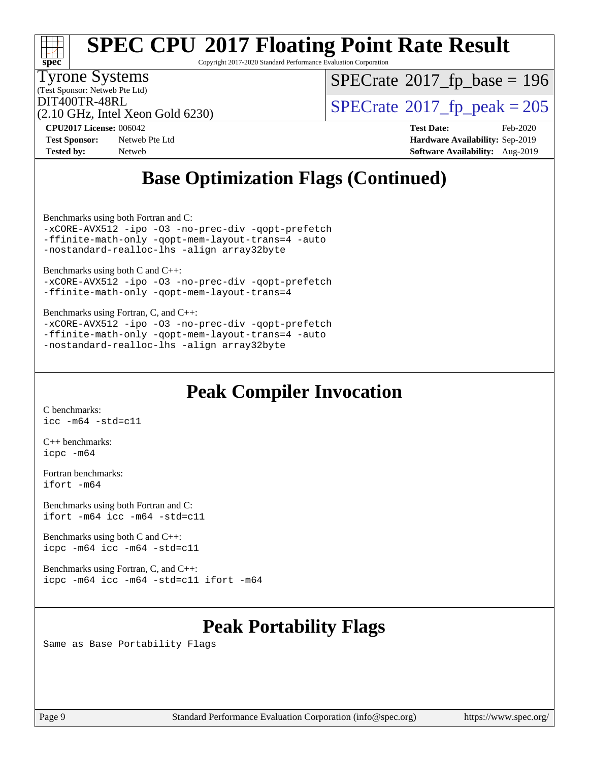

Copyright 2017-2020 Standard Performance Evaluation Corporation

Tyrone Systems

(Test Sponsor: Netweb Pte Ltd)

 $SPECTate$ <sup>®</sup>[2017\\_fp\\_base =](http://www.spec.org/auto/cpu2017/Docs/result-fields.html#SPECrate2017fpbase) 196

(2.10 GHz, Intel Xeon Gold 6230)

 $\text{DIT400TR-48RL}$ <br>(2.10 GHz, Intel Xeon Gold 6230)  $\text{SPECrate}$  $\text{SPECrate}$  $\text{SPECrate}$ <sup>®</sup>[2017\\_fp\\_peak = 2](http://www.spec.org/auto/cpu2017/Docs/result-fields.html#SPECrate2017fppeak)05

**[Test Sponsor:](http://www.spec.org/auto/cpu2017/Docs/result-fields.html#TestSponsor)** Netweb Pte Ltd **[Hardware Availability:](http://www.spec.org/auto/cpu2017/Docs/result-fields.html#HardwareAvailability)** Sep-2019 **[Tested by:](http://www.spec.org/auto/cpu2017/Docs/result-fields.html#Testedby)** Netweb **[Software Availability:](http://www.spec.org/auto/cpu2017/Docs/result-fields.html#SoftwareAvailability)** Aug-2019

**[CPU2017 License:](http://www.spec.org/auto/cpu2017/Docs/result-fields.html#CPU2017License)** 006042 **[Test Date:](http://www.spec.org/auto/cpu2017/Docs/result-fields.html#TestDate)** Feb-2020

## **[Base Optimization Flags \(Continued\)](http://www.spec.org/auto/cpu2017/Docs/result-fields.html#BaseOptimizationFlags)**

[Benchmarks using both Fortran and C](http://www.spec.org/auto/cpu2017/Docs/result-fields.html#BenchmarksusingbothFortranandC):

[-xCORE-AVX512](http://www.spec.org/cpu2017/results/res2020q1/cpu2017-20200218-20949.flags.html#user_CC_FCbase_f-xCORE-AVX512) [-ipo](http://www.spec.org/cpu2017/results/res2020q1/cpu2017-20200218-20949.flags.html#user_CC_FCbase_f-ipo) [-O3](http://www.spec.org/cpu2017/results/res2020q1/cpu2017-20200218-20949.flags.html#user_CC_FCbase_f-O3) [-no-prec-div](http://www.spec.org/cpu2017/results/res2020q1/cpu2017-20200218-20949.flags.html#user_CC_FCbase_f-no-prec-div) [-qopt-prefetch](http://www.spec.org/cpu2017/results/res2020q1/cpu2017-20200218-20949.flags.html#user_CC_FCbase_f-qopt-prefetch) [-ffinite-math-only](http://www.spec.org/cpu2017/results/res2020q1/cpu2017-20200218-20949.flags.html#user_CC_FCbase_f_finite_math_only_cb91587bd2077682c4b38af759c288ed7c732db004271a9512da14a4f8007909a5f1427ecbf1a0fb78ff2a814402c6114ac565ca162485bbcae155b5e4258871) [-qopt-mem-layout-trans=4](http://www.spec.org/cpu2017/results/res2020q1/cpu2017-20200218-20949.flags.html#user_CC_FCbase_f-qopt-mem-layout-trans_fa39e755916c150a61361b7846f310bcdf6f04e385ef281cadf3647acec3f0ae266d1a1d22d972a7087a248fd4e6ca390a3634700869573d231a252c784941a8) [-auto](http://www.spec.org/cpu2017/results/res2020q1/cpu2017-20200218-20949.flags.html#user_CC_FCbase_f-auto) [-nostandard-realloc-lhs](http://www.spec.org/cpu2017/results/res2020q1/cpu2017-20200218-20949.flags.html#user_CC_FCbase_f_2003_std_realloc_82b4557e90729c0f113870c07e44d33d6f5a304b4f63d4c15d2d0f1fab99f5daaed73bdb9275d9ae411527f28b936061aa8b9c8f2d63842963b95c9dd6426b8a) [-align array32byte](http://www.spec.org/cpu2017/results/res2020q1/cpu2017-20200218-20949.flags.html#user_CC_FCbase_align_array32byte_b982fe038af199962ba9a80c053b8342c548c85b40b8e86eb3cc33dee0d7986a4af373ac2d51c3f7cf710a18d62fdce2948f201cd044323541f22fc0fffc51b6)

[Benchmarks using both C and C++](http://www.spec.org/auto/cpu2017/Docs/result-fields.html#BenchmarksusingbothCandCXX): [-xCORE-AVX512](http://www.spec.org/cpu2017/results/res2020q1/cpu2017-20200218-20949.flags.html#user_CC_CXXbase_f-xCORE-AVX512) [-ipo](http://www.spec.org/cpu2017/results/res2020q1/cpu2017-20200218-20949.flags.html#user_CC_CXXbase_f-ipo) [-O3](http://www.spec.org/cpu2017/results/res2020q1/cpu2017-20200218-20949.flags.html#user_CC_CXXbase_f-O3) [-no-prec-div](http://www.spec.org/cpu2017/results/res2020q1/cpu2017-20200218-20949.flags.html#user_CC_CXXbase_f-no-prec-div) [-qopt-prefetch](http://www.spec.org/cpu2017/results/res2020q1/cpu2017-20200218-20949.flags.html#user_CC_CXXbase_f-qopt-prefetch) [-ffinite-math-only](http://www.spec.org/cpu2017/results/res2020q1/cpu2017-20200218-20949.flags.html#user_CC_CXXbase_f_finite_math_only_cb91587bd2077682c4b38af759c288ed7c732db004271a9512da14a4f8007909a5f1427ecbf1a0fb78ff2a814402c6114ac565ca162485bbcae155b5e4258871) [-qopt-mem-layout-trans=4](http://www.spec.org/cpu2017/results/res2020q1/cpu2017-20200218-20949.flags.html#user_CC_CXXbase_f-qopt-mem-layout-trans_fa39e755916c150a61361b7846f310bcdf6f04e385ef281cadf3647acec3f0ae266d1a1d22d972a7087a248fd4e6ca390a3634700869573d231a252c784941a8)

[Benchmarks using Fortran, C, and C++:](http://www.spec.org/auto/cpu2017/Docs/result-fields.html#BenchmarksusingFortranCandCXX) [-xCORE-AVX512](http://www.spec.org/cpu2017/results/res2020q1/cpu2017-20200218-20949.flags.html#user_CC_CXX_FCbase_f-xCORE-AVX512) [-ipo](http://www.spec.org/cpu2017/results/res2020q1/cpu2017-20200218-20949.flags.html#user_CC_CXX_FCbase_f-ipo) -03 [-no-prec-div](http://www.spec.org/cpu2017/results/res2020q1/cpu2017-20200218-20949.flags.html#user_CC_CXX_FCbase_f-no-prec-div) [-qopt-prefetch](http://www.spec.org/cpu2017/results/res2020q1/cpu2017-20200218-20949.flags.html#user_CC_CXX_FCbase_f-qopt-prefetch) [-ffinite-math-only](http://www.spec.org/cpu2017/results/res2020q1/cpu2017-20200218-20949.flags.html#user_CC_CXX_FCbase_f_finite_math_only_cb91587bd2077682c4b38af759c288ed7c732db004271a9512da14a4f8007909a5f1427ecbf1a0fb78ff2a814402c6114ac565ca162485bbcae155b5e4258871) [-qopt-mem-layout-trans=4](http://www.spec.org/cpu2017/results/res2020q1/cpu2017-20200218-20949.flags.html#user_CC_CXX_FCbase_f-qopt-mem-layout-trans_fa39e755916c150a61361b7846f310bcdf6f04e385ef281cadf3647acec3f0ae266d1a1d22d972a7087a248fd4e6ca390a3634700869573d231a252c784941a8) [-auto](http://www.spec.org/cpu2017/results/res2020q1/cpu2017-20200218-20949.flags.html#user_CC_CXX_FCbase_f-auto) [-nostandard-realloc-lhs](http://www.spec.org/cpu2017/results/res2020q1/cpu2017-20200218-20949.flags.html#user_CC_CXX_FCbase_f_2003_std_realloc_82b4557e90729c0f113870c07e44d33d6f5a304b4f63d4c15d2d0f1fab99f5daaed73bdb9275d9ae411527f28b936061aa8b9c8f2d63842963b95c9dd6426b8a) [-align array32byte](http://www.spec.org/cpu2017/results/res2020q1/cpu2017-20200218-20949.flags.html#user_CC_CXX_FCbase_align_array32byte_b982fe038af199962ba9a80c053b8342c548c85b40b8e86eb3cc33dee0d7986a4af373ac2d51c3f7cf710a18d62fdce2948f201cd044323541f22fc0fffc51b6)

### **[Peak Compiler Invocation](http://www.spec.org/auto/cpu2017/Docs/result-fields.html#PeakCompilerInvocation)**

[C benchmarks](http://www.spec.org/auto/cpu2017/Docs/result-fields.html#Cbenchmarks): [icc -m64 -std=c11](http://www.spec.org/cpu2017/results/res2020q1/cpu2017-20200218-20949.flags.html#user_CCpeak_intel_icc_64bit_c11_33ee0cdaae7deeeab2a9725423ba97205ce30f63b9926c2519791662299b76a0318f32ddfffdc46587804de3178b4f9328c46fa7c2b0cd779d7a61945c91cd35)

[C++ benchmarks:](http://www.spec.org/auto/cpu2017/Docs/result-fields.html#CXXbenchmarks) [icpc -m64](http://www.spec.org/cpu2017/results/res2020q1/cpu2017-20200218-20949.flags.html#user_CXXpeak_intel_icpc_64bit_4ecb2543ae3f1412ef961e0650ca070fec7b7afdcd6ed48761b84423119d1bf6bdf5cad15b44d48e7256388bc77273b966e5eb805aefd121eb22e9299b2ec9d9)

[Fortran benchmarks](http://www.spec.org/auto/cpu2017/Docs/result-fields.html#Fortranbenchmarks): [ifort -m64](http://www.spec.org/cpu2017/results/res2020q1/cpu2017-20200218-20949.flags.html#user_FCpeak_intel_ifort_64bit_24f2bb282fbaeffd6157abe4f878425411749daecae9a33200eee2bee2fe76f3b89351d69a8130dd5949958ce389cf37ff59a95e7a40d588e8d3a57e0c3fd751)

[Benchmarks using both Fortran and C](http://www.spec.org/auto/cpu2017/Docs/result-fields.html#BenchmarksusingbothFortranandC): [ifort -m64](http://www.spec.org/cpu2017/results/res2020q1/cpu2017-20200218-20949.flags.html#user_CC_FCpeak_intel_ifort_64bit_24f2bb282fbaeffd6157abe4f878425411749daecae9a33200eee2bee2fe76f3b89351d69a8130dd5949958ce389cf37ff59a95e7a40d588e8d3a57e0c3fd751) [icc -m64 -std=c11](http://www.spec.org/cpu2017/results/res2020q1/cpu2017-20200218-20949.flags.html#user_CC_FCpeak_intel_icc_64bit_c11_33ee0cdaae7deeeab2a9725423ba97205ce30f63b9926c2519791662299b76a0318f32ddfffdc46587804de3178b4f9328c46fa7c2b0cd779d7a61945c91cd35)

[Benchmarks using both C and C++](http://www.spec.org/auto/cpu2017/Docs/result-fields.html#BenchmarksusingbothCandCXX): [icpc -m64](http://www.spec.org/cpu2017/results/res2020q1/cpu2017-20200218-20949.flags.html#user_CC_CXXpeak_intel_icpc_64bit_4ecb2543ae3f1412ef961e0650ca070fec7b7afdcd6ed48761b84423119d1bf6bdf5cad15b44d48e7256388bc77273b966e5eb805aefd121eb22e9299b2ec9d9) [icc -m64 -std=c11](http://www.spec.org/cpu2017/results/res2020q1/cpu2017-20200218-20949.flags.html#user_CC_CXXpeak_intel_icc_64bit_c11_33ee0cdaae7deeeab2a9725423ba97205ce30f63b9926c2519791662299b76a0318f32ddfffdc46587804de3178b4f9328c46fa7c2b0cd779d7a61945c91cd35)

[Benchmarks using Fortran, C, and C++:](http://www.spec.org/auto/cpu2017/Docs/result-fields.html#BenchmarksusingFortranCandCXX) [icpc -m64](http://www.spec.org/cpu2017/results/res2020q1/cpu2017-20200218-20949.flags.html#user_CC_CXX_FCpeak_intel_icpc_64bit_4ecb2543ae3f1412ef961e0650ca070fec7b7afdcd6ed48761b84423119d1bf6bdf5cad15b44d48e7256388bc77273b966e5eb805aefd121eb22e9299b2ec9d9) [icc -m64 -std=c11](http://www.spec.org/cpu2017/results/res2020q1/cpu2017-20200218-20949.flags.html#user_CC_CXX_FCpeak_intel_icc_64bit_c11_33ee0cdaae7deeeab2a9725423ba97205ce30f63b9926c2519791662299b76a0318f32ddfffdc46587804de3178b4f9328c46fa7c2b0cd779d7a61945c91cd35) [ifort -m64](http://www.spec.org/cpu2017/results/res2020q1/cpu2017-20200218-20949.flags.html#user_CC_CXX_FCpeak_intel_ifort_64bit_24f2bb282fbaeffd6157abe4f878425411749daecae9a33200eee2bee2fe76f3b89351d69a8130dd5949958ce389cf37ff59a95e7a40d588e8d3a57e0c3fd751)

## **[Peak Portability Flags](http://www.spec.org/auto/cpu2017/Docs/result-fields.html#PeakPortabilityFlags)**

Same as Base Portability Flags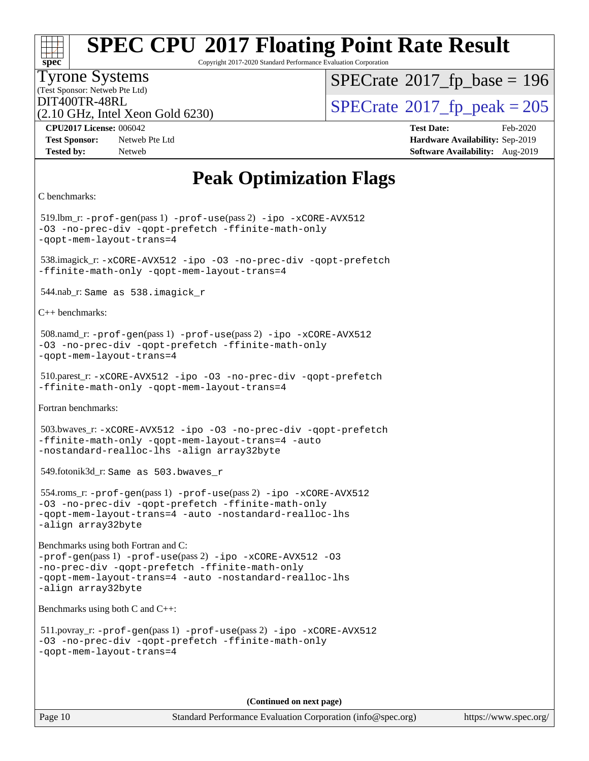# **[spec](http://www.spec.org/)**

## **[SPEC CPU](http://www.spec.org/auto/cpu2017/Docs/result-fields.html#SPECCPU2017FloatingPointRateResult)[2017 Floating Point Rate Result](http://www.spec.org/auto/cpu2017/Docs/result-fields.html#SPECCPU2017FloatingPointRateResult)**

Copyright 2017-2020 Standard Performance Evaluation Corporation

#### Tyrone Systems

(Test Sponsor: Netweb Pte Ltd)

 $SPECTate$ <sup>®</sup>[2017\\_fp\\_base =](http://www.spec.org/auto/cpu2017/Docs/result-fields.html#SPECrate2017fpbase) 196

(2.10 GHz, Intel Xeon Gold 6230)

 $DIT400TR-48RL$ <br>(2.10 GHz, Intel Yean Gold 6230) [SPECrate](http://www.spec.org/auto/cpu2017/Docs/result-fields.html#SPECrate2017fppeak)®[2017\\_fp\\_peak = 2](http://www.spec.org/auto/cpu2017/Docs/result-fields.html#SPECrate2017fppeak)05

**[Test Sponsor:](http://www.spec.org/auto/cpu2017/Docs/result-fields.html#TestSponsor)** Netweb Pte Ltd **[Hardware Availability:](http://www.spec.org/auto/cpu2017/Docs/result-fields.html#HardwareAvailability)** Sep-2019 **[Tested by:](http://www.spec.org/auto/cpu2017/Docs/result-fields.html#Testedby)** Netweb **[Software Availability:](http://www.spec.org/auto/cpu2017/Docs/result-fields.html#SoftwareAvailability)** Aug-2019

**[CPU2017 License:](http://www.spec.org/auto/cpu2017/Docs/result-fields.html#CPU2017License)** 006042 **[Test Date:](http://www.spec.org/auto/cpu2017/Docs/result-fields.html#TestDate)** Feb-2020

## **[Peak Optimization Flags](http://www.spec.org/auto/cpu2017/Docs/result-fields.html#PeakOptimizationFlags)**

```
C benchmarks:
```
 519.lbm\_r: [-prof-gen](http://www.spec.org/cpu2017/results/res2020q1/cpu2017-20200218-20949.flags.html#user_peakPASS1_CFLAGSPASS1_LDFLAGS519_lbm_r_prof_gen_5aa4926d6013ddb2a31985c654b3eb18169fc0c6952a63635c234f711e6e63dd76e94ad52365559451ec499a2cdb89e4dc58ba4c67ef54ca681ffbe1461d6b36)(pass 1) [-prof-use](http://www.spec.org/cpu2017/results/res2020q1/cpu2017-20200218-20949.flags.html#user_peakPASS2_CFLAGSPASS2_LDFLAGS519_lbm_r_prof_use_1a21ceae95f36a2b53c25747139a6c16ca95bd9def2a207b4f0849963b97e94f5260e30a0c64f4bb623698870e679ca08317ef8150905d41bd88c6f78df73f19)(pass 2) [-ipo](http://www.spec.org/cpu2017/results/res2020q1/cpu2017-20200218-20949.flags.html#user_peakPASS1_COPTIMIZEPASS2_COPTIMIZE519_lbm_r_f-ipo) [-xCORE-AVX512](http://www.spec.org/cpu2017/results/res2020q1/cpu2017-20200218-20949.flags.html#user_peakPASS2_COPTIMIZE519_lbm_r_f-xCORE-AVX512) [-O3](http://www.spec.org/cpu2017/results/res2020q1/cpu2017-20200218-20949.flags.html#user_peakPASS1_COPTIMIZEPASS2_COPTIMIZE519_lbm_r_f-O3) [-no-prec-div](http://www.spec.org/cpu2017/results/res2020q1/cpu2017-20200218-20949.flags.html#user_peakPASS1_COPTIMIZEPASS2_COPTIMIZE519_lbm_r_f-no-prec-div) [-qopt-prefetch](http://www.spec.org/cpu2017/results/res2020q1/cpu2017-20200218-20949.flags.html#user_peakPASS1_COPTIMIZEPASS2_COPTIMIZE519_lbm_r_f-qopt-prefetch) [-ffinite-math-only](http://www.spec.org/cpu2017/results/res2020q1/cpu2017-20200218-20949.flags.html#user_peakPASS1_COPTIMIZEPASS2_COPTIMIZE519_lbm_r_f_finite_math_only_cb91587bd2077682c4b38af759c288ed7c732db004271a9512da14a4f8007909a5f1427ecbf1a0fb78ff2a814402c6114ac565ca162485bbcae155b5e4258871) [-qopt-mem-layout-trans=4](http://www.spec.org/cpu2017/results/res2020q1/cpu2017-20200218-20949.flags.html#user_peakPASS1_COPTIMIZEPASS2_COPTIMIZE519_lbm_r_f-qopt-mem-layout-trans_fa39e755916c150a61361b7846f310bcdf6f04e385ef281cadf3647acec3f0ae266d1a1d22d972a7087a248fd4e6ca390a3634700869573d231a252c784941a8) 538.imagick\_r: [-xCORE-AVX512](http://www.spec.org/cpu2017/results/res2020q1/cpu2017-20200218-20949.flags.html#user_peakCOPTIMIZE538_imagick_r_f-xCORE-AVX512) [-ipo](http://www.spec.org/cpu2017/results/res2020q1/cpu2017-20200218-20949.flags.html#user_peakCOPTIMIZE538_imagick_r_f-ipo) [-O3](http://www.spec.org/cpu2017/results/res2020q1/cpu2017-20200218-20949.flags.html#user_peakCOPTIMIZE538_imagick_r_f-O3) [-no-prec-div](http://www.spec.org/cpu2017/results/res2020q1/cpu2017-20200218-20949.flags.html#user_peakCOPTIMIZE538_imagick_r_f-no-prec-div) [-qopt-prefetch](http://www.spec.org/cpu2017/results/res2020q1/cpu2017-20200218-20949.flags.html#user_peakCOPTIMIZE538_imagick_r_f-qopt-prefetch) [-ffinite-math-only](http://www.spec.org/cpu2017/results/res2020q1/cpu2017-20200218-20949.flags.html#user_peakCOPTIMIZE538_imagick_r_f_finite_math_only_cb91587bd2077682c4b38af759c288ed7c732db004271a9512da14a4f8007909a5f1427ecbf1a0fb78ff2a814402c6114ac565ca162485bbcae155b5e4258871) [-qopt-mem-layout-trans=4](http://www.spec.org/cpu2017/results/res2020q1/cpu2017-20200218-20949.flags.html#user_peakCOPTIMIZE538_imagick_r_f-qopt-mem-layout-trans_fa39e755916c150a61361b7846f310bcdf6f04e385ef281cadf3647acec3f0ae266d1a1d22d972a7087a248fd4e6ca390a3634700869573d231a252c784941a8) 544.nab\_r: Same as 538.imagick\_r [C++ benchmarks:](http://www.spec.org/auto/cpu2017/Docs/result-fields.html#CXXbenchmarks) 508.namd\_r: [-prof-gen](http://www.spec.org/cpu2017/results/res2020q1/cpu2017-20200218-20949.flags.html#user_peakPASS1_CXXFLAGSPASS1_LDFLAGS508_namd_r_prof_gen_5aa4926d6013ddb2a31985c654b3eb18169fc0c6952a63635c234f711e6e63dd76e94ad52365559451ec499a2cdb89e4dc58ba4c67ef54ca681ffbe1461d6b36)(pass 1) [-prof-use](http://www.spec.org/cpu2017/results/res2020q1/cpu2017-20200218-20949.flags.html#user_peakPASS2_CXXFLAGSPASS2_LDFLAGS508_namd_r_prof_use_1a21ceae95f36a2b53c25747139a6c16ca95bd9def2a207b4f0849963b97e94f5260e30a0c64f4bb623698870e679ca08317ef8150905d41bd88c6f78df73f19)(pass 2) [-ipo](http://www.spec.org/cpu2017/results/res2020q1/cpu2017-20200218-20949.flags.html#user_peakPASS1_CXXOPTIMIZEPASS2_CXXOPTIMIZE508_namd_r_f-ipo) [-xCORE-AVX512](http://www.spec.org/cpu2017/results/res2020q1/cpu2017-20200218-20949.flags.html#user_peakPASS2_CXXOPTIMIZE508_namd_r_f-xCORE-AVX512) [-O3](http://www.spec.org/cpu2017/results/res2020q1/cpu2017-20200218-20949.flags.html#user_peakPASS1_CXXOPTIMIZEPASS2_CXXOPTIMIZE508_namd_r_f-O3) [-no-prec-div](http://www.spec.org/cpu2017/results/res2020q1/cpu2017-20200218-20949.flags.html#user_peakPASS1_CXXOPTIMIZEPASS2_CXXOPTIMIZE508_namd_r_f-no-prec-div) [-qopt-prefetch](http://www.spec.org/cpu2017/results/res2020q1/cpu2017-20200218-20949.flags.html#user_peakPASS1_CXXOPTIMIZEPASS2_CXXOPTIMIZE508_namd_r_f-qopt-prefetch) [-ffinite-math-only](http://www.spec.org/cpu2017/results/res2020q1/cpu2017-20200218-20949.flags.html#user_peakPASS1_CXXOPTIMIZEPASS2_CXXOPTIMIZE508_namd_r_f_finite_math_only_cb91587bd2077682c4b38af759c288ed7c732db004271a9512da14a4f8007909a5f1427ecbf1a0fb78ff2a814402c6114ac565ca162485bbcae155b5e4258871) [-qopt-mem-layout-trans=4](http://www.spec.org/cpu2017/results/res2020q1/cpu2017-20200218-20949.flags.html#user_peakPASS1_CXXOPTIMIZEPASS2_CXXOPTIMIZE508_namd_r_f-qopt-mem-layout-trans_fa39e755916c150a61361b7846f310bcdf6f04e385ef281cadf3647acec3f0ae266d1a1d22d972a7087a248fd4e6ca390a3634700869573d231a252c784941a8) 510.parest\_r: [-xCORE-AVX512](http://www.spec.org/cpu2017/results/res2020q1/cpu2017-20200218-20949.flags.html#user_peakCXXOPTIMIZE510_parest_r_f-xCORE-AVX512) [-ipo](http://www.spec.org/cpu2017/results/res2020q1/cpu2017-20200218-20949.flags.html#user_peakCXXOPTIMIZE510_parest_r_f-ipo) [-O3](http://www.spec.org/cpu2017/results/res2020q1/cpu2017-20200218-20949.flags.html#user_peakCXXOPTIMIZE510_parest_r_f-O3) [-no-prec-div](http://www.spec.org/cpu2017/results/res2020q1/cpu2017-20200218-20949.flags.html#user_peakCXXOPTIMIZE510_parest_r_f-no-prec-div) [-qopt-prefetch](http://www.spec.org/cpu2017/results/res2020q1/cpu2017-20200218-20949.flags.html#user_peakCXXOPTIMIZE510_parest_r_f-qopt-prefetch) [-ffinite-math-only](http://www.spec.org/cpu2017/results/res2020q1/cpu2017-20200218-20949.flags.html#user_peakCXXOPTIMIZE510_parest_r_f_finite_math_only_cb91587bd2077682c4b38af759c288ed7c732db004271a9512da14a4f8007909a5f1427ecbf1a0fb78ff2a814402c6114ac565ca162485bbcae155b5e4258871) [-qopt-mem-layout-trans=4](http://www.spec.org/cpu2017/results/res2020q1/cpu2017-20200218-20949.flags.html#user_peakCXXOPTIMIZE510_parest_r_f-qopt-mem-layout-trans_fa39e755916c150a61361b7846f310bcdf6f04e385ef281cadf3647acec3f0ae266d1a1d22d972a7087a248fd4e6ca390a3634700869573d231a252c784941a8) [Fortran benchmarks](http://www.spec.org/auto/cpu2017/Docs/result-fields.html#Fortranbenchmarks): 503.bwaves\_r: [-xCORE-AVX512](http://www.spec.org/cpu2017/results/res2020q1/cpu2017-20200218-20949.flags.html#user_peakFOPTIMIZE503_bwaves_r_f-xCORE-AVX512) [-ipo](http://www.spec.org/cpu2017/results/res2020q1/cpu2017-20200218-20949.flags.html#user_peakFOPTIMIZE503_bwaves_r_f-ipo) [-O3](http://www.spec.org/cpu2017/results/res2020q1/cpu2017-20200218-20949.flags.html#user_peakFOPTIMIZE503_bwaves_r_f-O3) [-no-prec-div](http://www.spec.org/cpu2017/results/res2020q1/cpu2017-20200218-20949.flags.html#user_peakFOPTIMIZE503_bwaves_r_f-no-prec-div) [-qopt-prefetch](http://www.spec.org/cpu2017/results/res2020q1/cpu2017-20200218-20949.flags.html#user_peakFOPTIMIZE503_bwaves_r_f-qopt-prefetch) [-ffinite-math-only](http://www.spec.org/cpu2017/results/res2020q1/cpu2017-20200218-20949.flags.html#user_peakFOPTIMIZE503_bwaves_r_f_finite_math_only_cb91587bd2077682c4b38af759c288ed7c732db004271a9512da14a4f8007909a5f1427ecbf1a0fb78ff2a814402c6114ac565ca162485bbcae155b5e4258871) [-qopt-mem-layout-trans=4](http://www.spec.org/cpu2017/results/res2020q1/cpu2017-20200218-20949.flags.html#user_peakFOPTIMIZE503_bwaves_r_f-qopt-mem-layout-trans_fa39e755916c150a61361b7846f310bcdf6f04e385ef281cadf3647acec3f0ae266d1a1d22d972a7087a248fd4e6ca390a3634700869573d231a252c784941a8) [-auto](http://www.spec.org/cpu2017/results/res2020q1/cpu2017-20200218-20949.flags.html#user_peakFOPTIMIZE503_bwaves_r_f-auto) [-nostandard-realloc-lhs](http://www.spec.org/cpu2017/results/res2020q1/cpu2017-20200218-20949.flags.html#user_peakEXTRA_FOPTIMIZE503_bwaves_r_f_2003_std_realloc_82b4557e90729c0f113870c07e44d33d6f5a304b4f63d4c15d2d0f1fab99f5daaed73bdb9275d9ae411527f28b936061aa8b9c8f2d63842963b95c9dd6426b8a) [-align array32byte](http://www.spec.org/cpu2017/results/res2020q1/cpu2017-20200218-20949.flags.html#user_peakEXTRA_FOPTIMIZE503_bwaves_r_align_array32byte_b982fe038af199962ba9a80c053b8342c548c85b40b8e86eb3cc33dee0d7986a4af373ac2d51c3f7cf710a18d62fdce2948f201cd044323541f22fc0fffc51b6) 549.fotonik3d\_r: Same as 503.bwaves\_r 554.roms\_r: [-prof-gen](http://www.spec.org/cpu2017/results/res2020q1/cpu2017-20200218-20949.flags.html#user_peakPASS1_FFLAGSPASS1_LDFLAGS554_roms_r_prof_gen_5aa4926d6013ddb2a31985c654b3eb18169fc0c6952a63635c234f711e6e63dd76e94ad52365559451ec499a2cdb89e4dc58ba4c67ef54ca681ffbe1461d6b36)(pass 1) [-prof-use](http://www.spec.org/cpu2017/results/res2020q1/cpu2017-20200218-20949.flags.html#user_peakPASS2_FFLAGSPASS2_LDFLAGS554_roms_r_prof_use_1a21ceae95f36a2b53c25747139a6c16ca95bd9def2a207b4f0849963b97e94f5260e30a0c64f4bb623698870e679ca08317ef8150905d41bd88c6f78df73f19)(pass 2) [-ipo](http://www.spec.org/cpu2017/results/res2020q1/cpu2017-20200218-20949.flags.html#user_peakPASS1_FOPTIMIZEPASS2_FOPTIMIZE554_roms_r_f-ipo) [-xCORE-AVX512](http://www.spec.org/cpu2017/results/res2020q1/cpu2017-20200218-20949.flags.html#user_peakPASS2_FOPTIMIZE554_roms_r_f-xCORE-AVX512) [-O3](http://www.spec.org/cpu2017/results/res2020q1/cpu2017-20200218-20949.flags.html#user_peakPASS1_FOPTIMIZEPASS2_FOPTIMIZE554_roms_r_f-O3) [-no-prec-div](http://www.spec.org/cpu2017/results/res2020q1/cpu2017-20200218-20949.flags.html#user_peakPASS1_FOPTIMIZEPASS2_FOPTIMIZE554_roms_r_f-no-prec-div) [-qopt-prefetch](http://www.spec.org/cpu2017/results/res2020q1/cpu2017-20200218-20949.flags.html#user_peakPASS1_FOPTIMIZEPASS2_FOPTIMIZE554_roms_r_f-qopt-prefetch) [-ffinite-math-only](http://www.spec.org/cpu2017/results/res2020q1/cpu2017-20200218-20949.flags.html#user_peakPASS1_FOPTIMIZEPASS2_FOPTIMIZE554_roms_r_f_finite_math_only_cb91587bd2077682c4b38af759c288ed7c732db004271a9512da14a4f8007909a5f1427ecbf1a0fb78ff2a814402c6114ac565ca162485bbcae155b5e4258871) [-qopt-mem-layout-trans=4](http://www.spec.org/cpu2017/results/res2020q1/cpu2017-20200218-20949.flags.html#user_peakPASS1_FOPTIMIZEPASS2_FOPTIMIZE554_roms_r_f-qopt-mem-layout-trans_fa39e755916c150a61361b7846f310bcdf6f04e385ef281cadf3647acec3f0ae266d1a1d22d972a7087a248fd4e6ca390a3634700869573d231a252c784941a8) [-auto](http://www.spec.org/cpu2017/results/res2020q1/cpu2017-20200218-20949.flags.html#user_peakPASS2_FOPTIMIZE554_roms_r_f-auto) [-nostandard-realloc-lhs](http://www.spec.org/cpu2017/results/res2020q1/cpu2017-20200218-20949.flags.html#user_peakEXTRA_FOPTIMIZE554_roms_r_f_2003_std_realloc_82b4557e90729c0f113870c07e44d33d6f5a304b4f63d4c15d2d0f1fab99f5daaed73bdb9275d9ae411527f28b936061aa8b9c8f2d63842963b95c9dd6426b8a) [-align array32byte](http://www.spec.org/cpu2017/results/res2020q1/cpu2017-20200218-20949.flags.html#user_peakEXTRA_FOPTIMIZE554_roms_r_align_array32byte_b982fe038af199962ba9a80c053b8342c548c85b40b8e86eb3cc33dee0d7986a4af373ac2d51c3f7cf710a18d62fdce2948f201cd044323541f22fc0fffc51b6) [Benchmarks using both Fortran and C](http://www.spec.org/auto/cpu2017/Docs/result-fields.html#BenchmarksusingbothFortranandC): [-prof-gen](http://www.spec.org/cpu2017/results/res2020q1/cpu2017-20200218-20949.flags.html#user_CC_FCpeak_prof_gen_5aa4926d6013ddb2a31985c654b3eb18169fc0c6952a63635c234f711e6e63dd76e94ad52365559451ec499a2cdb89e4dc58ba4c67ef54ca681ffbe1461d6b36)(pass 1) [-prof-use](http://www.spec.org/cpu2017/results/res2020q1/cpu2017-20200218-20949.flags.html#user_CC_FCpeak_prof_use_1a21ceae95f36a2b53c25747139a6c16ca95bd9def2a207b4f0849963b97e94f5260e30a0c64f4bb623698870e679ca08317ef8150905d41bd88c6f78df73f19)(pass 2) [-ipo](http://www.spec.org/cpu2017/results/res2020q1/cpu2017-20200218-20949.flags.html#user_CC_FCpeak_f-ipo) [-xCORE-AVX512](http://www.spec.org/cpu2017/results/res2020q1/cpu2017-20200218-20949.flags.html#user_CC_FCpeak_f-xCORE-AVX512) [-O3](http://www.spec.org/cpu2017/results/res2020q1/cpu2017-20200218-20949.flags.html#user_CC_FCpeak_f-O3) [-no-prec-div](http://www.spec.org/cpu2017/results/res2020q1/cpu2017-20200218-20949.flags.html#user_CC_FCpeak_f-no-prec-div) [-qopt-prefetch](http://www.spec.org/cpu2017/results/res2020q1/cpu2017-20200218-20949.flags.html#user_CC_FCpeak_f-qopt-prefetch) [-ffinite-math-only](http://www.spec.org/cpu2017/results/res2020q1/cpu2017-20200218-20949.flags.html#user_CC_FCpeak_f_finite_math_only_cb91587bd2077682c4b38af759c288ed7c732db004271a9512da14a4f8007909a5f1427ecbf1a0fb78ff2a814402c6114ac565ca162485bbcae155b5e4258871) [-qopt-mem-layout-trans=4](http://www.spec.org/cpu2017/results/res2020q1/cpu2017-20200218-20949.flags.html#user_CC_FCpeak_f-qopt-mem-layout-trans_fa39e755916c150a61361b7846f310bcdf6f04e385ef281cadf3647acec3f0ae266d1a1d22d972a7087a248fd4e6ca390a3634700869573d231a252c784941a8) [-auto](http://www.spec.org/cpu2017/results/res2020q1/cpu2017-20200218-20949.flags.html#user_CC_FCpeak_f-auto) [-nostandard-realloc-lhs](http://www.spec.org/cpu2017/results/res2020q1/cpu2017-20200218-20949.flags.html#user_CC_FCpeak_f_2003_std_realloc_82b4557e90729c0f113870c07e44d33d6f5a304b4f63d4c15d2d0f1fab99f5daaed73bdb9275d9ae411527f28b936061aa8b9c8f2d63842963b95c9dd6426b8a) [-align array32byte](http://www.spec.org/cpu2017/results/res2020q1/cpu2017-20200218-20949.flags.html#user_CC_FCpeak_align_array32byte_b982fe038af199962ba9a80c053b8342c548c85b40b8e86eb3cc33dee0d7986a4af373ac2d51c3f7cf710a18d62fdce2948f201cd044323541f22fc0fffc51b6) [Benchmarks using both C and C++:](http://www.spec.org/auto/cpu2017/Docs/result-fields.html#BenchmarksusingbothCandCXX) 511.povray\_r: [-prof-gen](http://www.spec.org/cpu2017/results/res2020q1/cpu2017-20200218-20949.flags.html#user_peakPASS1_CFLAGSPASS1_CXXFLAGSPASS1_LDFLAGS511_povray_r_prof_gen_5aa4926d6013ddb2a31985c654b3eb18169fc0c6952a63635c234f711e6e63dd76e94ad52365559451ec499a2cdb89e4dc58ba4c67ef54ca681ffbe1461d6b36)(pass 1) [-prof-use](http://www.spec.org/cpu2017/results/res2020q1/cpu2017-20200218-20949.flags.html#user_peakPASS2_CFLAGSPASS2_CXXFLAGSPASS2_LDFLAGS511_povray_r_prof_use_1a21ceae95f36a2b53c25747139a6c16ca95bd9def2a207b4f0849963b97e94f5260e30a0c64f4bb623698870e679ca08317ef8150905d41bd88c6f78df73f19)(pass 2) [-ipo](http://www.spec.org/cpu2017/results/res2020q1/cpu2017-20200218-20949.flags.html#user_peakPASS1_COPTIMIZEPASS1_CXXOPTIMIZEPASS2_COPTIMIZEPASS2_CXXOPTIMIZE511_povray_r_f-ipo) [-xCORE-AVX512](http://www.spec.org/cpu2017/results/res2020q1/cpu2017-20200218-20949.flags.html#user_peakPASS2_COPTIMIZEPASS2_CXXOPTIMIZE511_povray_r_f-xCORE-AVX512) [-O3](http://www.spec.org/cpu2017/results/res2020q1/cpu2017-20200218-20949.flags.html#user_peakPASS1_COPTIMIZEPASS1_CXXOPTIMIZEPASS2_COPTIMIZEPASS2_CXXOPTIMIZE511_povray_r_f-O3) [-no-prec-div](http://www.spec.org/cpu2017/results/res2020q1/cpu2017-20200218-20949.flags.html#user_peakPASS1_COPTIMIZEPASS1_CXXOPTIMIZEPASS2_COPTIMIZEPASS2_CXXOPTIMIZE511_povray_r_f-no-prec-div) [-qopt-prefetch](http://www.spec.org/cpu2017/results/res2020q1/cpu2017-20200218-20949.flags.html#user_peakPASS1_COPTIMIZEPASS1_CXXOPTIMIZEPASS2_COPTIMIZEPASS2_CXXOPTIMIZE511_povray_r_f-qopt-prefetch) [-ffinite-math-only](http://www.spec.org/cpu2017/results/res2020q1/cpu2017-20200218-20949.flags.html#user_peakPASS1_COPTIMIZEPASS1_CXXOPTIMIZEPASS2_COPTIMIZEPASS2_CXXOPTIMIZE511_povray_r_f_finite_math_only_cb91587bd2077682c4b38af759c288ed7c732db004271a9512da14a4f8007909a5f1427ecbf1a0fb78ff2a814402c6114ac565ca162485bbcae155b5e4258871) [-qopt-mem-layout-trans=4](http://www.spec.org/cpu2017/results/res2020q1/cpu2017-20200218-20949.flags.html#user_peakPASS1_COPTIMIZEPASS1_CXXOPTIMIZEPASS2_COPTIMIZEPASS2_CXXOPTIMIZE511_povray_r_f-qopt-mem-layout-trans_fa39e755916c150a61361b7846f310bcdf6f04e385ef281cadf3647acec3f0ae266d1a1d22d972a7087a248fd4e6ca390a3634700869573d231a252c784941a8)